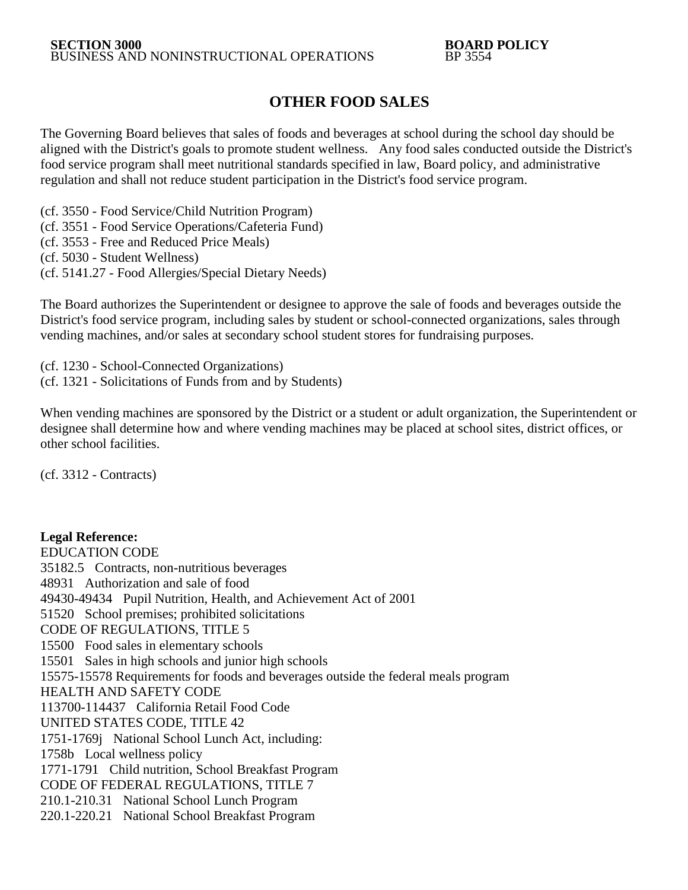## **OTHER FOOD SALES**

The Governing Board believes that sales of foods and beverages at school during the school day should be aligned with the District's goals to promote student wellness. Any food sales conducted outside the District's food service program shall meet nutritional standards specified in law, Board policy, and administrative regulation and shall not reduce student participation in the District's food service program.

(cf. 3550 - Food Service/Child Nutrition Program)

(cf. 3551 - Food Service Operations/Cafeteria Fund)

(cf. 3553 - Free and Reduced Price Meals)

(cf. 5030 - Student Wellness)

(cf. 5141.27 - Food Allergies/Special Dietary Needs)

The Board authorizes the Superintendent or designee to approve the sale of foods and beverages outside the District's food service program, including sales by student or school-connected organizations, sales through vending machines, and/or sales at secondary school student stores for fundraising purposes.

(cf. 1230 - School-Connected Organizations) (cf. 1321 - Solicitations of Funds from and by Students)

When vending machines are sponsored by the District or a student or adult organization, the Superintendent or designee shall determine how and where vending machines may be placed at school sites, district offices, or other school facilities.

(cf. 3312 - Contracts)

## **Legal Reference:**

EDUCATION CODE 35182.5 Contracts, non-nutritious beverages 48931 Authorization and sale of food 49430-49434 Pupil Nutrition, Health, and Achievement Act of 2001 51520 School premises; prohibited solicitations CODE OF REGULATIONS, TITLE 5 15500 Food sales in elementary schools 15501 Sales in high schools and junior high schools 15575-15578 Requirements for foods and beverages outside the federal meals program HEALTH AND SAFETY CODE 113700-114437 California Retail Food Code UNITED STATES CODE, TITLE 42 1751-1769j National School Lunch Act, including: 1758b Local wellness policy 1771-1791 Child nutrition, School Breakfast Program CODE OF FEDERAL REGULATIONS, TITLE 7 210.1-210.31 National School Lunch Program 220.1-220.21 National School Breakfast Program